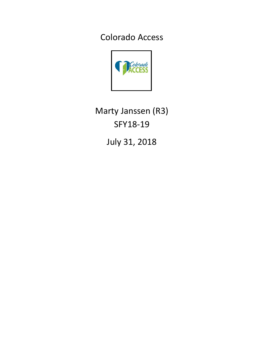Colorado Access



Marty Janssen (R3) SFY18-19

July 31, 2018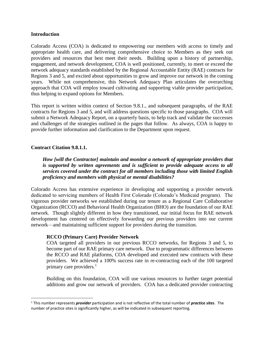#### **Introduction**

Colorado Access (COA) is dedicated to empowering our members with access to timely and appropriate health care, and delivering comprehensive choice to Members as they seek out providers and resources that best meet their needs. Building upon a history of partnership, engagement, and network development, COA is well positioned, currently, to meet or exceed the network adequacy standards established by the Regional Accountable Entity (RAE) contracts for Regions 3 and 5, and excited about opportunities to grow and improve our network in the coming years. While not comprehensive, this Network Adequacy Plan articulates the overarching approach that COA will employ toward cultivating and supporting viable provider participation, thus helping to expand options for Members.

This report is written within context of Section 9.8.1., and subsequent paragraphs, of the RAE contracts for Regions 3 and 5, and will address questions specific to those paragraphs. COA will submit a Network Adequacy Report, on a quarterly basis, to help track and validate the successes and challenges of the strategies outlined in the pages that follow. As always, COA is happy to provide further information and clarification to the Department upon request.

### **Contract Citation 9.8.1.1.**

 $\overline{\phantom{a}}$ 

*How [will the Contractor] maintain and monitor a network of appropriate providers that is supported by written agreements and is sufficient to provide adequate access to all services covered under the contract for all members including those with limited English proficiency and members with physical or mental disabilities?*

Colorado Access has extensive experience in developing and supporting a provider network dedicated to servicing members of Health First Colorado (Colorado's Medicaid program). The vigorous provider networks we established during our tenure as a Regional Care Collaborative Organization (RCCO) and Behavioral Health Organization (BHO) are the foundation of our RAE network. Though slightly different in how they transitioned, our initial focus for RAE network development has centered on effectively forwarding our previous providers into our current network—and maintaining sufficient support for providers during the transition.

#### **RCCO (Primary Care) Provider Network**

COA targeted all providers in our previous RCCO networks, for Regions 3 and 5, to become part of our RAE primary care network. Due to programmatic differences between the RCCO and RAE platforms, COA developed and executed new contracts with these providers. We achieved a 100% success rate in re-contracting each of the 100 targeted primary care providers.<sup>1</sup>

Building on this foundation, COA will use various resources to further target potential additions and grow our network of providers. COA has a dedicated provider contracting

<sup>1</sup> This number represents *provider* participation and is not reflective of the total number of *practice sites*. The number of practice sites is significantly higher, as will be indicated in subsequent reporting.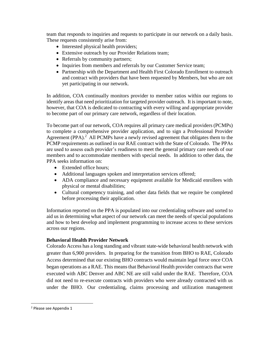team that responds to inquiries and requests to participate in our network on a daily basis. These requests consistently arise from:

- Interested physical health providers;
- Extensive outreach by our Provider Relations team;
- Referrals by community partners;
- Inquiries from members and referrals by our Customer Service team;
- Partnership with the Department and Health First Colorado Enrollment to outreach and contract with providers that have been requested by Members, but who are not yet participating in our network.

In addition, COA continually monitors provider to member ratios within our regions to identify areas that need prioritization for targeted provider outreach. It is important to note, however, that COA is dedicated to contracting with every willing and appropriate provider to become part of our primary care network, regardless of their location.

To become part of our network, COA requires all primary care medical providers (PCMPs) to complete a comprehensive provider application, and to sign a Professional Provider Agreement (PPA).<sup>2</sup> All PCMPs have a newly revised agreement that obligates them to the PCMP requirements as outlined in our RAE contract with the State of Colorado. The PPAs are used to assess each provider's readiness to meet the general primary care needs of our members and to accommodate members with special needs. In addition to other data, the PPA seeks information on:

- Extended office hours:
- Additional languages spoken and interpretation services offered;
- ADA compliance and necessary equipment available for Medicaid enrollees with physical or mental disabilities;
- Cultural competency training, and other data fields that we require be completed before processing their application.

Information reported on the PPA is populated into our credentialing software and sorted to aid us in determining what aspect of our network can meet the needs of special populations and how to best develop and implement programming to increase access to these services across our regions.

# **Behavioral Health Provider Network**

Colorado Access has a long standing and vibrant state-wide behavioral health network with greater than 6,900 providers. In preparing for the transition from BHO to RAE, Colorado Access determined that our existing BHO contracts would maintain legal force once COA began operations as a RAE. This means that Behavioral Health provider contracts that were executed with ABC Denver and ABC NE are still valid under the RAE. Therefore, COA did not need to re-execute contracts with providers who were already contracted with us under the BHO. Our credentialing, claims processing and utilization management

 $\overline{\phantom{a}}$ 

<sup>2</sup> Please see Appendix 1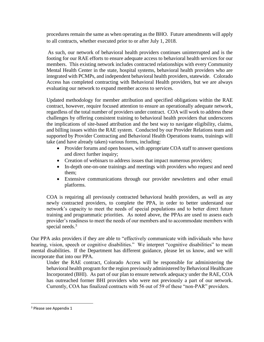procedures remain the same as when operating as the BHO. Future amendments will apply to all contracts, whether executed prior to or after July 1, 2018.

As such, our network of behavioral health providers continues uninterrupted and is the footing for our RAE efforts to ensure adequate access to behavioral health services for our members. This existing network includes contracted relationships with every Community Mental Health Center in the state, hospital systems, behavioral health providers who are integrated with PCMPs, and independent behavioral health providers, statewide. Colorado Access has completed contracting with Behavioral Health providers, but we are always evaluating our network to expand member access to services.

Updated methodology for member attribution and specified obligations within the RAE contract, however, require focused attention to ensure an operationally adequate network, regardless of the total number of providers under contract. COA will work to address these challenges by offering consistent training to behavioral health providers that underscores the implications of site-based attribution and the best way to navigate eligibility, claims, and billing issues within the RAE system. Conducted by our Provider Relations team and supported by Provider Contracting and Behavioral Health Operations teams, trainings will take (and have already taken) various forms, including:

- Provider forums and open houses, with appropriate COA staff to answer questions and direct further inquiry;
- Creation of webinars to address issues that impact numerous providers;
- In-depth one-on-one trainings and meetings with providers who request and need them;
- Extensive communications through our provider newsletters and other email platforms.

COA is requiring all previously contracted behavioral health providers, as well as any newly contracted providers, to complete the PPA, in order to better understand our network's capacity to meet the needs of special populations and to better direct future training and programmatic priorities. As noted above, the PPAs are used to assess each provider's readiness to meet the needs of our members and to accommodate members with special needs.<sup>3</sup>

Our PPA asks providers if they are able to "effectively communicate with individuals who have hearing, vision, speech or cognitive disabilities." We interpret "cognitive disabilities" to mean mental disabilities. If the Department has different guidance, please let us know, and we will incorporate that into our PPA.

Under the RAE contract, Colorado Access will be responsible for administering the behavioral health program for the region previously administered by Behavioral Healthcare Incorporated (BHI). As part of our plan to ensure network adequacy under the RAE, COA has outreached former BHI providers who were not previously a part of our network. Currently, COA has finalized contracts with 56 out of 59 of these "non-PAR" providers.

 $\overline{\phantom{a}}$ 

<sup>&</sup>lt;sup>3</sup> Please see Appendix 1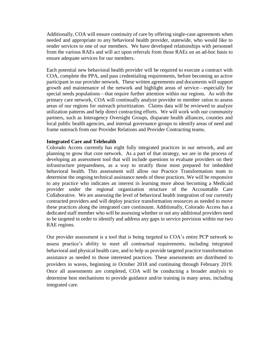Additionally, COA will ensure continuity of care by offering single-case agreements when needed and appropriate to any behavioral health provider, statewide, who would like to render services to one of our members. We have developed relationships with personnel from the various RAEs and will act upon referrals from those RAEs on an ad-hoc basis to ensure adequate services for our members.

Each potential new behavioral health provider will be required to execute a contract with COA, complete the PPA, and pass credentialing requirements, before becoming an active participant in our provider network. These written agreements and documents will support growth and maintenance of the network and highlight areas of service—especially for special needs populations—that require further attention within our regions. As with the primary care network, COA will continually analyze provider to member ratios to assess areas of our regions for outreach prioritization. Claims data will be reviewed to analyze utilization patterns and help direct contracting efforts. We will work with our community partners, such as Interagency Oversight Groups, disparate health alliances, counties and local public health agencies, and internal governance groups to identify areas of need and frame outreach from our Provider Relations and Provider Contracting teams.

#### **Integrated Care and Telehealth**

Colorado Access currently has eight fully integrated practices in our network, and are planning to grow that core network. As a part of that strategy, we are in the process of developing an assessment tool that will include questions to evaluate providers on their infrastructure preparedness, as a way to stratify those most prepared for imbedded behavioral health. This assessment will allow our Practice Transformation team to determine the ongoing technical assistance needs of these practices. We will be responsive to any practice who indicates an interest in learning more about becoming a Medicaid provider under the regional organization structure of the Accountable Care Collaborative. We are assessing the level of behavioral health integration of our currently contracted providers and will deploy practice transformation resources as needed to move these practices along the integrated care continuum. Additionally, Colorado Access has a dedicated staff member who will be assessing whether or not any additional providers need to be targeted in order to identify and address any gaps in service prevision within our two RAE regions.

Our provider assessment is a tool that is being targeted to COA's entire PCP network to assess practice's ability to meet all contractual requirements, including integrated behavioral and physical health care, and to help us provide targeted practice transformation assistance as needed to those interested practices. These assessments are distributed to providers in waves, beginning in October 2018 and continuing through February 2019. Once all assessments are completed, COA will be conducting a broader analysis to determine best mechanisms to provide guidance and/or training in many areas, including integrated care.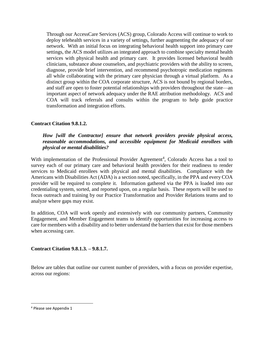Through our AccessCare Services (ACS) group, Colorado Access will continue to work to deploy telehealth services in a variety of settings, further augmenting the adequacy of our network. With an initial focus on integrating behavioral health support into primary care settings, the ACS model utilizes an integrated approach to combine specialty mental health services with physical health and primary care. It provides licensed behavioral health clinicians, substance abuse counselors, and psychiatric providers with the ability to screen, diagnose, provide brief intervention, and recommend psychotropic medication regimens all while collaborating with the primary care physician through a virtual platform. As a distinct group within the COA corporate structure, ACS is not bound by regional borders, and staff are open to foster potential relationships with providers throughout the state—an important aspect of network adequacy under the RAE attribution methodology. ACS and COA will track referrals and consults within the program to help guide practice transformation and integration efforts.

# **Contract Citation 9.8.1.2.**

### *How [will the Contractor] ensure that network providers provide physical access, reasonable accommodations, and accessible equipment for Medicaid enrollees with physical or mental disabilities?*

With implementation of the Professional Provider Agreement<sup>4</sup>, Colorado Access has a tool to survey each of our primary care and behavioral health providers for their readiness to render services to Medicaid enrollees with physical and mental disabilities. Compliance with the Americans with Disabilities Act (ADA) is a section noted, specifically, in the PPA and every COA provider will be required to complete it. Information gathered via the PPA is loaded into our credentialing system, sorted, and reported upon, on a regular basis. These reports will be used to focus outreach and training by our Practice Transformation and Provider Relations teams and to analyze where gaps may exist.

In addition, COA will work openly and extensively with our community partners, Community Engagement, and Member Engagement teams to identify opportunities for increasing access to care for members with a disability and to better understand the barriers that exist for those members when accessing care.

# **Contract Citation 9.8.1.3. – 9.8.1.7.**

Below are tables that outline our current number of providers, with a focus on provider expertise, across our regions:

 $\overline{\phantom{a}}$ 

<sup>4</sup> Please see Appendix 1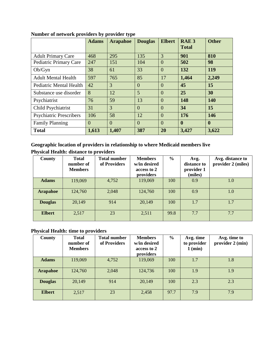|                                | <b>Adams</b> | <b>Arapahoe</b> | <b>Douglas</b> | <b>Elbert</b>  | RAE <sub>3</sub><br><b>Total</b> | <b>Other</b>     |
|--------------------------------|--------------|-----------------|----------------|----------------|----------------------------------|------------------|
| <b>Adult Primary Care</b>      | 468          | 295             | 135            | 3              | 901                              | 810              |
| Pediatric Primary Care         | 247          | 151             | 104            | $\overline{0}$ | 502                              | 98               |
| Ob/Gyn                         | 38           | 61              | 33             | $\Omega$       | 132                              | <b>119</b>       |
| <b>Adult Mental Health</b>     | 597          | 765             | 85             | 17             | 1,464                            | 2,249            |
| <b>Pediatric Mental Health</b> | 42           | 3               | $\overline{0}$ | $\Omega$       | 45                               | 15               |
| Substance use disorder         | 8            | 12              | $\overline{5}$ | $\overline{0}$ | 25                               | 30               |
| Psychiatrist                   | 76           | 59              | 13             | $\overline{0}$ | 148                              | <b>140</b>       |
| Child Psychiatrist             | 31           | 3               | $\Omega$       | $\theta$       | 34                               | 15               |
| <b>Psychiatric Prescribers</b> | 106          | 58              | 12             | $\Omega$       | 176                              | <b>146</b>       |
| <b>Family Planning</b>         | $\Omega$     | $\Omega$        | $\Omega$       | $\Omega$       | $\mathbf{0}$                     | $\boldsymbol{0}$ |
| <b>Total</b>                   | 1,613        | 1,407           | 387            | 20             | 3,427                            | 3,622            |

**Number of network providers by provider type**

**Geographic location of providers in relationship to where Medicaid members live Physical Health: distance to providers**

| <b>County</b>   | <b>Total</b><br>number of<br><b>Members</b> | <b>Total number</b><br>of Providers | <b>Members</b><br>w/in desired<br>access to 2<br>providers | $\frac{6}{6}$ | Avg.<br>distance to<br>provider 1<br>(miles) | Avg. distance to<br>provider 2 (miles) |
|-----------------|---------------------------------------------|-------------------------------------|------------------------------------------------------------|---------------|----------------------------------------------|----------------------------------------|
| <b>Adams</b>    | 119,069                                     | 4,752                               | 119,069                                                    | 100           | 0.9                                          | 1.0                                    |
| <b>Arapahoe</b> | 124,760                                     | 2,048                               | 124,760                                                    | 100           | 0.9                                          | 1.0                                    |
| <b>Douglas</b>  | 20,149                                      | 914                                 | 20,149                                                     | 100           | 1.7                                          | 1.7                                    |
| <b>Elbert</b>   | 2,517                                       | 23                                  | 2,511                                                      | 99.8          | 7.7                                          | 7.7                                    |

# **Physical Health: time to providers**

| County          | <b>Total</b><br>number of<br><b>Members</b> | <b>Total number</b><br>of Providers | <b>Members</b><br>w/in desired<br>access to 2<br>providers | $\frac{6}{6}$ | Avg. time<br>to provider<br>1 (min) | Avg. time to<br>provider 2 (min) |
|-----------------|---------------------------------------------|-------------------------------------|------------------------------------------------------------|---------------|-------------------------------------|----------------------------------|
| <b>Adams</b>    | 119,069                                     | 4,752                               | 119,069                                                    | 100           | 1.7                                 | 1.8                              |
| <b>Arapahoe</b> | 124,760                                     | 2,048                               | 124,736                                                    | 100           | 1.9                                 | 1.9                              |
| <b>Douglas</b>  | 20,149                                      | 914                                 | 20,149                                                     | 100           | 2.3                                 | 2.3                              |
| <b>Elbert</b>   | 2,517                                       | 23                                  | 2,458                                                      | 97.7          | 7.9                                 | 7.9                              |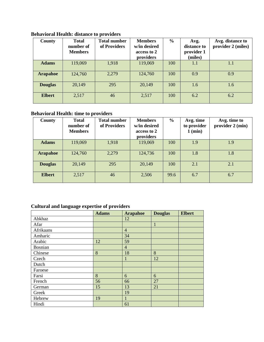| County          | <b>Total</b><br>number of<br><b>Members</b> | <b>Total number</b><br>of Providers | <b>Members</b><br>w/in desired<br>access to 2<br>providers | $\frac{0}{0}$ | Avg.<br>distance to<br>provider 1<br>(miles) | Avg. distance to<br>provider 2 (miles) |
|-----------------|---------------------------------------------|-------------------------------------|------------------------------------------------------------|---------------|----------------------------------------------|----------------------------------------|
| <b>Adams</b>    | 119,069                                     | 1,918                               | 119,069                                                    | 100           | 1.1                                          | 1.1                                    |
| <b>Arapahoe</b> | 124,760                                     | 2,279                               | 124,760                                                    | 100           | 0.9                                          | 0.9                                    |
| <b>Douglas</b>  | 20,149                                      | 295                                 | 20,149                                                     | 100           | 1.6                                          | 1.6                                    |
| <b>Elbert</b>   | 2,517                                       | 46                                  | 2,517                                                      | 100           | 6.2                                          | 6.2                                    |

**Behavioral Health: distance to providers**

# **Behavioral Health: time to providers**

| County          | <b>Total</b><br>number of<br><b>Members</b> | <b>Total number</b><br>of Providers | <b>Members</b><br>w/in desired<br>access to 2<br>providers | $\frac{0}{0}$ | Avg. time<br>to provider<br>1 (min) | Avg. time to<br>provider 2 (min) |
|-----------------|---------------------------------------------|-------------------------------------|------------------------------------------------------------|---------------|-------------------------------------|----------------------------------|
| <b>Adams</b>    | 119,069                                     | 1,918                               | 119,069                                                    | 100           | 1.9                                 | 1.9                              |
| <b>Arapahoe</b> | 124,760                                     | 2,279                               | 124,736                                                    | 100           | 1.8                                 | 1.8                              |
| <b>Douglas</b>  | 20,149                                      | 295                                 | 20,149                                                     | 100           | 2.1                                 | 2.1                              |
| <b>Elbert</b>   | 2,517                                       | 46                                  | 2,506                                                      | 99.6          | 6.7                                 | 6.7                              |

# **Cultural and language expertise of providers**

|           | <b>Adams</b> | <b>Arapahoe</b> | <b>Douglas</b> | <b>Elbert</b> |
|-----------|--------------|-----------------|----------------|---------------|
| Abkhaz    |              | 12              |                |               |
| Afar      |              |                 | $\mathbf{1}$   |               |
| Afrikaans |              | $\overline{4}$  |                |               |
| Amharic   |              | 34              |                |               |
| Arabic    | 12           | 59              |                |               |
| Bosnian   |              | $\overline{4}$  |                |               |
| Chinese   | 8            | 18              | 8              |               |
| Czech     |              |                 | 12             |               |
| Dutch     |              |                 |                |               |
| Faroese   |              |                 |                |               |
| Farsi     | 8            | 6               | 6              |               |
| French    | 56           | 66              | 27             |               |
| German    | 15           | 13              | 21             |               |
| Greek     |              | 19              |                |               |
| Hebrew    | 19           | 1               |                |               |
| Hindi     |              | 61              |                |               |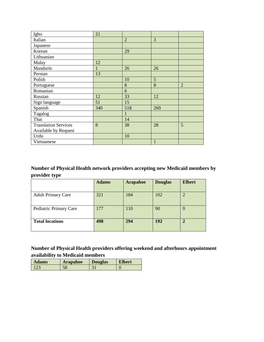| Igbo                        | 21           |                |     |                |
|-----------------------------|--------------|----------------|-----|----------------|
| Italian                     |              | $\overline{2}$ | 3   |                |
| Japanese                    |              |                |     |                |
| Korean                      |              | 29             |     |                |
| Lithuanian                  |              |                |     |                |
| Malay                       | 12           |                |     |                |
| Mandarin                    | $\mathbf{1}$ | 26             | 26  |                |
| Persian                     | 13           |                |     |                |
| Polish                      |              | 10             | 5   |                |
| Portuguese                  |              | 8              | 8   | $\overline{2}$ |
| Romanian                    |              | 6              |     |                |
| Russian                     | 12           | 33             | 12  |                |
| Sign language               | 51           | 15             |     |                |
| Spanish                     | 340          | 518            | 269 |                |
| Tagalog                     |              | 1              |     |                |
| Thai                        |              | 14             |     |                |
| <b>Translation Services</b> | 8            | 38             | 28  | 5              |
| <b>Available by Request</b> |              |                |     |                |
| Urdu                        |              | 10             |     |                |
| Vietnamese                  |              |                | 1   |                |

# **Number of Physical Health network providers accepting new Medicaid members by provider type**

|                           | <b>Adams</b> | <b>Arapahoe</b> | <b>Douglas</b> | <b>Elbert</b> |
|---------------------------|--------------|-----------------|----------------|---------------|
|                           |              |                 |                |               |
| <b>Adult Primary Care</b> | 321          | 184             | 102            |               |
|                           |              |                 |                |               |
| Pediatric Primary Care    | 177          | 110             | 90             | $\theta$      |
|                           |              |                 |                |               |
| <b>Total locations</b>    | 498          | 294             | 192            |               |
|                           |              |                 |                |               |

# **Number of Physical Health providers offering weekend and afterhours appointment availability to Medicaid members**

| <b>Adams</b> | <b>Arapahoe</b> | <b>Douglas</b> | <b>Elbert</b> |
|--------------|-----------------|----------------|---------------|
|              |                 | $\sim$         |               |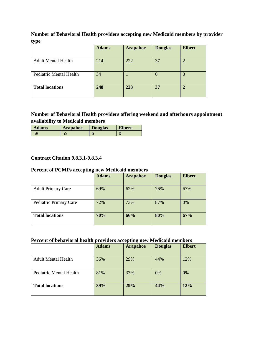**Number of Behavioral Health providers accepting new Medicaid members by provider type**

|                            | <b>Adams</b> | <b>Arapahoe</b> | <b>Douglas</b> | <b>Elbert</b> |
|----------------------------|--------------|-----------------|----------------|---------------|
|                            |              |                 |                |               |
| <b>Adult Mental Health</b> | 214          | 222             | 37             |               |
|                            |              |                 |                |               |
| Pediatric Mental Health    | 34           |                 |                |               |
|                            |              |                 |                |               |
| <b>Total locations</b>     | 248          | 223             | 37             |               |
|                            |              |                 |                |               |

**Number of Behavioral Health providers offering weekend and afterhours appointment availability to Medicaid members**

| <b>Adams</b> | Arapahoe | <b>Douglas</b> | Elbert |
|--------------|----------|----------------|--------|
|              |          |                |        |

# **Contract Citation 9.8.3.1-9.8.3.4**

## **Percent of PCMPs accepting new Medicaid members**

|                           | <b>Adams</b> | <b>Arapahoe</b> | <b>Douglas</b> | <b>Elbert</b> |
|---------------------------|--------------|-----------------|----------------|---------------|
| <b>Adult Primary Care</b> | 69%          | 62%             | 76%            | 67%           |
| Pediatric Primary Care    | 72%          | 73%             | 87%            | 0%            |
| <b>Total locations</b>    | 70%          | 66%             | 80%            | 67%           |

## **Percent of behavioral health providers accepting new Medicaid members**

|                            | <b>Adams</b> | <b>Arapahoe</b> | <b>Douglas</b> | <b>Elbert</b> |
|----------------------------|--------------|-----------------|----------------|---------------|
| <b>Adult Mental Health</b> | 36%          | 29%             | 44%            | 12%           |
| Pediatric Mental Health    | 81%          | 33%             | 0%             | 0%            |
| <b>Total locations</b>     | 39%          | 29%             | 44%            | 12%           |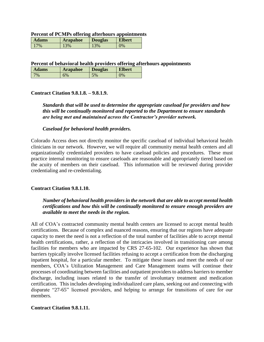#### **Percent of PCMPs offering afterhours appointments**

| <b>Adams</b> | <b>Arapahoe</b> | <b>Douglas</b> | <b>Elbert</b> |
|--------------|-----------------|----------------|---------------|
| 7%           | 13%             | 13%            | 0%            |

**Percent of behavioral health providers offering afterhours appointments**

| <b>Adams</b> | <b>Arapahoe</b> | <b>Douglas</b> | <b>Elbert</b> |
|--------------|-----------------|----------------|---------------|
| $^{70}$      | 6%              | 5%             | $\gamma\%$    |

### **Contract Citation 9.8.1.8. – 9.8.1.9.**

*Standards that will be used to determine the appropriate caseload for providers and how this will be continually monitored and reported to the Department to ensure standards are being met and maintained across the Contractor's provider network.*

#### *Caseload for behavioral health providers.*

Colorado Access does not directly monitor the specific caseload of individual behavioral health clinicians in our network. However, we will require all community mental health centers and all organizationally credentialed providers to have caseload policies and procedures. These must practice internal monitoring to ensure caseloads are reasonable and appropriately tiered based on the acuity of members on their caseload. This information will be reviewed during provider credentialing and re-credentialing.

#### **Contract Citation 9.8.1.10.**

# *Number of behavioral health providers in the network that are able to accept mental health certifications and how this will be continually monitored to ensure enough providers are available to meet the needs in the region.*

All of COA's contracted community mental health centers are licensed to accept mental health certifications. Because of complex and nuanced reasons, ensuring that our regions have adequate capacity to meet the need is not a reflection of the total number of facilities able to accept mental health certifications, rather, a reflection of the intricacies involved in transitioning care among facilities for members who are impacted by CRS 27-65-102. Our experience has shown that barriers typically involve licensed facilities refusing to accept a certification from the discharging inpatient hospital, for a particular member. To mitigate these issues and meet the needs of our members, COA's Utilization Management and Care Management teams will continue their processes of coordinating between facilities and outpatient providers to address barriers to member discharge, including issues related to the transfer of involuntary treatment and medication certification. This includes developing individualized care plans, seeking out and connecting with disparate "27-65" licensed providers, and helping to arrange for transitions of care for our members.

# **Contract Citation 9.8.1.11.**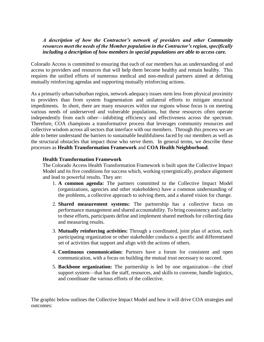## *A description of how the Contractor's network of providers and other Community resources meet the needs of the Member population in the Contractor's region, specifically including a description of how members in special populations are able to access care.*

Colorado Access is committed to ensuring that each of our members has an understanding of and access to providers and resources that will help them become healthy and remain healthy. This requires the unified efforts of numerous medical and non-medical partners aimed at defining mutually reinforcing agendas and supporting mutually reinforcing actions.

As a primarily urban/suburban region, network adequacy issues stem less from physical proximity to providers than from system fragmentation and unilateral efforts to mitigate structural impediments. In short, there are many resources within our regions whose focus is on meeting various needs of underserved and vulnerable populations, but these resources often operate independently from each other—inhibiting efficiency and effectiveness across the spectrum. Therefore, COA champions a transformative process that leverages community resources and collective wisdom across all sectors that interface with our members. Through this process we are able to better understand the barriers to sustainable healthfulness faced by our members as well as the structural obstacles that impact those who serve them. In general terms, we describe these processes as **Health Transformation Framework** and **COA Health Neighborhood**.

### **Health Transformation Framework**

The Colorado Access Health Transformation Framework is built upon the Collective Impact Model and its five conditions for success which, working synergistically, produce alignment and lead to powerful results. They are:

- 1. **A common agenda:** The partners committed to the Collective Impact Model (organizations, agencies and other stakeholders) have a common understanding of the problems, a collective approach to solving them, and a shared vision for change.
- 2. **Shared measurement systems:** The partnership has a collective focus on performance management and shared accountability. To bring consistency and clarity to these efforts, participants define and implement shared methods for collecting data and measuring results.
- 3. **Mutually reinforcing activities:** Through a coordinated, joint plan of action, each participating organization or other stakeholder conducts a specific and differentiated set of activities that support and align with the actions of others.
- 4. **Continuous communication:** Partners have a forum for consistent and open communication, with a focus on building the mutual trust necessary to succeed.
- 5. **Backbone organization:** The partnership is led by one organization—the chief support system—that has the staff, resources, and skills to convene, handle logistics, and coordinate the various efforts of the collective.

The graphic below outlines the Collective Impact Model and how it will drive COA strategies and outcomes: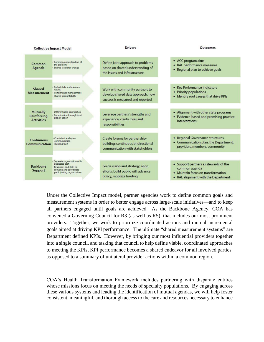|                                                     | <b>Collective Impact Model</b>                                                                                                        | <b>Drivers</b>                                                                                           | Outcomes                                                                                                                            |
|-----------------------------------------------------|---------------------------------------------------------------------------------------------------------------------------------------|----------------------------------------------------------------------------------------------------------|-------------------------------------------------------------------------------------------------------------------------------------|
| Common<br>Agenda                                    | · Common understanding of<br>the problem<br>· Shared vision for change                                                                | Define joint approach to problems<br>based on shared understanding of<br>the issues and infrastructure   | • ACC program aims<br>RAE performance measures<br>• Regional plan to achieve goals                                                  |
| Shared<br><b>Measurement</b>                        | · Collect data and measure<br>results<br>· Performance management<br>· Shared accountability                                          | Work with community partners to<br>develop shared data approach; how<br>success is measured and reported | • Key Performance Indicators<br>• Priority populations<br>. Identify root causes that drive KPIs                                    |
| <b>Mutually</b><br>Reinforcing<br><b>Activities</b> | · Differentiated approaches<br>· Coordination through joint<br>plan of action                                                         | Leverage partners' strengths and<br>experience; clarify roles and<br>responsibilities                    | • Alignment with other state programs<br>• Evidence-based and promising practice<br>interventions                                   |
| <b>Continuous</b><br>Communication                  | - Consistent and open<br>communication<br>· Building trust                                                                            | Create forums for partnership-<br>building; continuous bi-directional<br>communication with stakeholders | • Regional Governance structures<br>• Communication plan: the Department,<br>providers, members, community                          |
| <b>Backbone</b><br><b>Support</b>                   | · Separate organization with<br>dedicated staff<br>- Resources and skills to<br>convene and coordinate<br>participating organizations | Guide vision and strategy; align<br>efforts; build public will; advance<br>policy; mobilize funding      | • Support partners as stewards of the<br>common agenda<br>• Maintain focus on transformation<br>• RAE alignment with the Department |

Under the Collective Impact model, partner agencies work to define common goals and measurement systems in order to better engage across large-scale initiatives—and to keep all partners engaged until goals are achieved. As the Backbone Agency, COA has convened a Governing Council for R3 (as well as R5), that includes our most prominent providers. Together, we work to prioritize coordinated actions and mutual incremental goals aimed at driving KPI performance. The ultimate "shared measurement systems" are Department defined KPIs. However, by bringing our most influential providers together into a single council, and tasking that council to help define viable, coordinated approaches to meeting the KPIs, KPI performance becomes a shared endeavor for all involved parties, as opposed to a summary of unilateral provider actions within a common region.

COA's Health Transformation Framework includes partnering with disparate entities whose missions focus on meeting the needs of specialty populations. By engaging across these various systems and leading the identification of mutual agendas, we will help foster consistent, meaningful, and thorough access to the care and resources necessary to enhance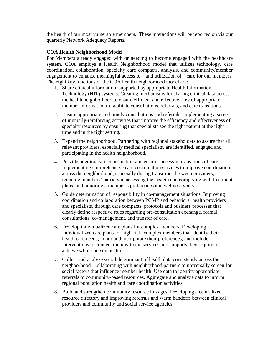the health of our most vulnerable members. These interactions will be reported on via our quarterly Network Adequacy Reports.

### **COA Health Neighborhood Model**

For Members already engaged with or needing to become engaged with the healthcare system, COA employs a Health Neighborhood model that utilizes technology, care coordination, collaboration, specialty care compacts, analysis, and community/member engagement to enhance meaningful access to—and utilization of—care for our members. The eight key functions of the COA health neighborhood model are:

- 1. Share clinical information, supported by appropriate Health Information Technology (HIT) systems. Creating mechanisms for sharing clinical data across the health neighborhood to ensure efficient and effective flow of appropriate member information to facilitate consultations, referrals, and care transitions.
- 2. Ensure appropriate and timely consultations and referrals. Implementing a series of mutually-reinforcing activities that improve the efficiency and effectiveness of specialty resources by ensuring that specialists see the right patient at the right time and in the right setting.
- 3. Expand the neighborhood. Partnering with regional stakeholders to assure that all relevant providers, especially medical specialists, are identified, engaged and participating in the health neighborhood.
- 4. Provide ongoing care coordination and ensure successful transitions of care. Implementing comprehensive care coordination services to improve coordination across the neighborhood, especially during transitions between providers; reducing members' barriers in accessing the system and complying with treatment plans; and honoring a member's preferences and wellness goals.
- 5. Guide determination of responsibility in co-management situations. Improving coordination and collaboration between PCMP and behavioral health providers and specialists, through care compacts, protocols and business processes that clearly define respective roles regarding pre-consultation exchange, formal consultations, co-management, and transfer of care.
- 6. Develop individualized care plans for complex members. Developing individualized care plans for high-risk, complex members that identify their health care needs, honor and incorporate their preferences, and include interventions to connect them with the services and supports they require to achieve whole-person health.
- 7. Collect and analyze social determinant of health data consistently across the neighborhood. Collaborating with neighborhood partners to universally screen for social factors that influence member health. Use data to identify appropriate referrals to community-based resources. Aggregate and analyze data to inform regional population health and care coordination activities.
- 8. Build and strengthen community resource linkages. Developing a centralized resource directory and improving referrals and warm handoffs between clinical providers and community and social service agencies.